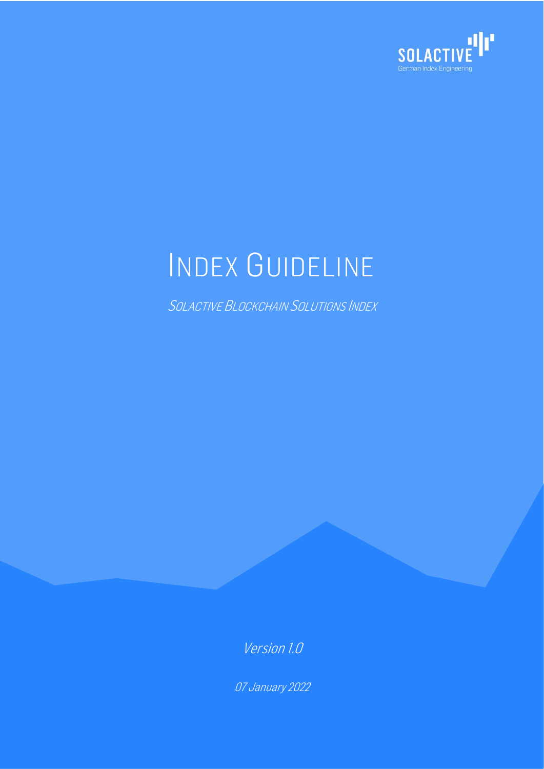

# INDEX GUIDELINE

SOLACTIVE BLOCKCHAIN SOLUTIONS INDEX

Version 1.0

07 January 2022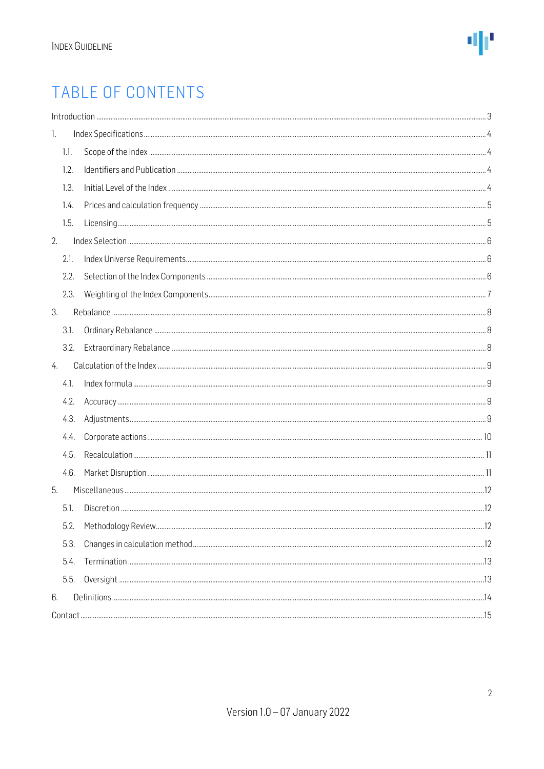### TABLE OF CONTENTS

|      | Introduction 33 |  |
|------|-----------------|--|
| 1.   |                 |  |
| 1.1. |                 |  |
| 1.2. |                 |  |
| 1.3. |                 |  |
| 1.4. |                 |  |
| 1.5. |                 |  |
| 2.   |                 |  |
| 2.1. |                 |  |
| 2.2. |                 |  |
| 2.3. |                 |  |
| 3.   |                 |  |
| 3.1. |                 |  |
| 3.2. |                 |  |
| 4.   |                 |  |
| 4.1. |                 |  |
| 4.2. |                 |  |
| 4.3. |                 |  |
| 4.4. |                 |  |
| 4.5. |                 |  |
| 4.6. |                 |  |
| 5.   |                 |  |
| 5.1. |                 |  |
| 5.2. |                 |  |
| 5.3. |                 |  |
| 5.4. |                 |  |
| 5.5. |                 |  |
| 6.   |                 |  |
|      |                 |  |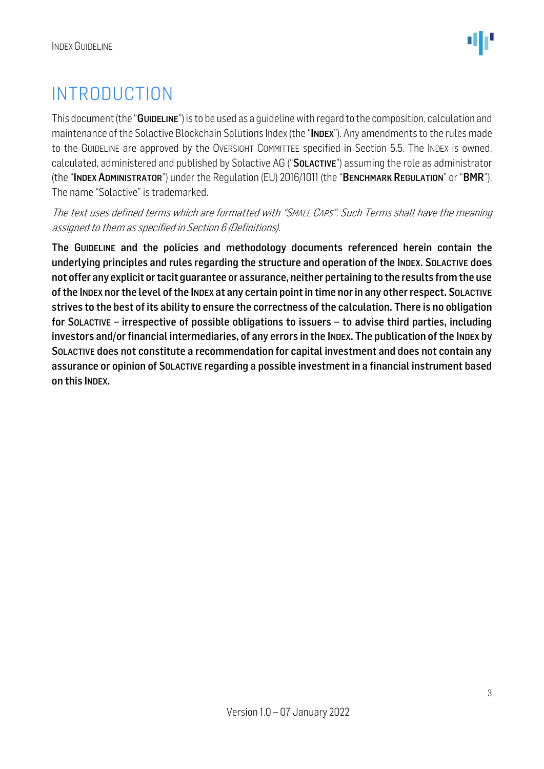### <span id="page-2-0"></span>INTRODUCTION

This document (the "GUIDELINE") is to be used as a quideline with regard to the composition, calculation and maintenance of the Solactive Blockchain Solutions Index (the "INDEX"). Any amendments to the rules made to the GUIDELINE are approved by the OVERSIGHT COMMITTEE specified in Section 5.5. The INDEX is owned, calculated, administered and published by Solactive AG ("SOLACTIVE") assuming the role as administrator (the "INDEX ADMINISTRATOR") under the Regulation (EU) 2016/1011 (the "BENCHMARK REGULATION" or "BMR"). The name "Solactive" is trademarked.

The text uses defined terms which are formatted with "SMALL CAPS". Such Terms shall have the meaning assigned to them as specified in Section 6 (Definitions).

The GUIDELINE and the policies and methodology documents referenced herein contain the underlying principles and rules regarding the structure and operation of the INDEX. SOLACTIVE does not offer any explicit or tacit guarantee or assurance, neither pertaining to the results from the use of the INDEX nor the level of the INDEX at any certain point in time nor in any other respect. SOLACTIVE strives to the best of its ability to ensure the correctness of the calculation. There is no obligation for SOLACTIVE – irrespective of possible obligations to issuers – to advise third parties, including investors and/or financial intermediaries, of any errors in the INDEX. The publication of the INDEX by SOLACTIVE does not constitute a recommendation for capital investment and does not contain any assurance or opinion of SOLACTIVE regarding a possible investment in a financial instrument based on this INDEX.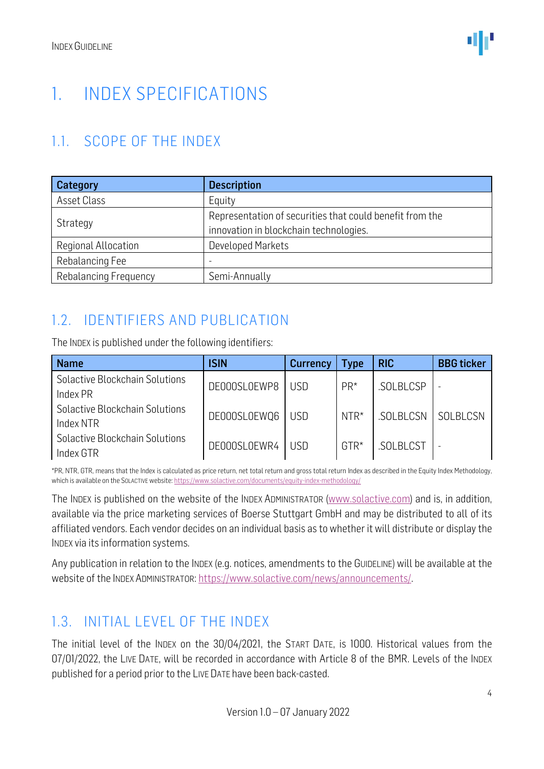### <span id="page-3-0"></span>1. INDEX SPECIFICATIONS

### <span id="page-3-1"></span>1.1. SCOPE OF THE INDEX

| Category                     | <b>Description</b>                                                                                 |  |  |  |  |
|------------------------------|----------------------------------------------------------------------------------------------------|--|--|--|--|
| Asset Class                  | Equity                                                                                             |  |  |  |  |
| Strategy                     | Representation of securities that could benefit from the<br>innovation in blockchain technologies. |  |  |  |  |
| Regional Allocation          | <b>Developed Markets</b>                                                                           |  |  |  |  |
| Rebalancing Fee              |                                                                                                    |  |  |  |  |
| <b>Rebalancing Frequency</b> | Semi-Annually                                                                                      |  |  |  |  |

### <span id="page-3-2"></span>1.2. IDENTIFIERS AND PUBLICATION

The INDEX is published under the following identifiers:

| <b>Name</b>                                 | <b>ISIN</b>  | <b>Currency</b> | Type   | <b>RIC</b>      | <b>BBG</b> ticker |
|---------------------------------------------|--------------|-----------------|--------|-----------------|-------------------|
| Solactive Blockchain Solutions<br>Index PR  | DE000SL0EWP8 | USD             | $PR*$  | .SOLBLCSP       |                   |
| Solactive Blockchain Solutions<br>Index NTR | DE000SL0EWQ6 | USD             | $NTR*$ | <b>SOLBLCSN</b> | SOLBLCSN          |
| Solactive Blockchain Solutions<br>Index GTR | DE000SL0EWR4 | USD             | $GTR*$ | .SOLBLCST       |                   |

\*PR, NTR, GTR, means that the Index is calculated as price return, net total return and gross total return Index as described in the Equity Index Methodology, which is available on the SOLACTIVE website[: https://www.solactive.com/documents/equity-index-methodology/](https://www.solactive.com/documents/equity-index-methodology/)

The INDEX is published on the website of the INDEX ADMINISTRATOR [\(www.solactive.com\)](http://www.solactive.com/) and is, in addition, available via the price marketing services of Boerse Stuttgart GmbH and may be distributed to all of its affiliated vendors. Each vendor decides on an individual basis as to whether it will distribute or display the INDEX via its information systems.

Any publication in relation to the INDEX (e.g. notices, amendments to the GUIDELINE) will be available at the website of the INDEX ADMINISTRATOR: [https://www.solactive.com/news/announcements/.](https://www.solactive.com/news/announcements/)

### <span id="page-3-3"></span>1.3. INITIAL LEVEL OF THE INDEX

The initial level of the INDEX on the 30/04/2021, the START DATE, is 1000. Historical values from the 07/01/2022, the LIVE DATE, will be recorded in accordance with Article 8 of the BMR. Levels of the INDEX published for a period prior to the LIVE DATE have been back-casted.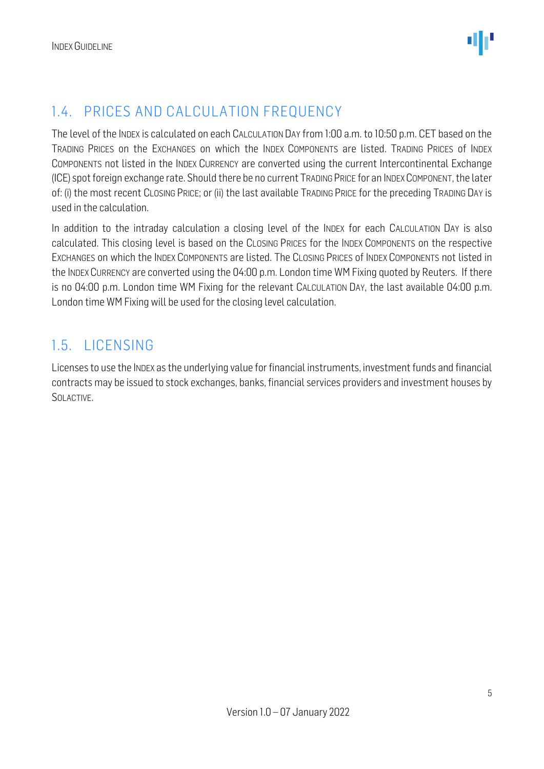### <span id="page-4-0"></span>1.4. PRICES AND CALCULATION FREQUENCY

The level of the INDEX is calculated on each CALCULATION DAY from 1:00 a.m. to 10:50 p.m. CET based on the TRADING PRICES on the EXCHANGES on which the INDEX COMPONENTS are listed. TRADING PRICES of INDEX COMPONENTS not listed in the INDEX CURRENCY are converted using the current Intercontinental Exchange (ICE) spot foreign exchange rate. Should there be no current TRADING PRICE for an INDEXCOMPONENT, the later of: (i) the most recent CLOSING PRICE; or (ii) the last available TRADING PRICE for the preceding TRADING DAY is used in the calculation.

In addition to the intraday calculation a closing level of the INDEX for each CALCULATION DAY is also calculated. This closing level is based on the CLOSING PRICES for the INDEX COMPONENTS on the respective EXCHANGES on which the INDEX COMPONENTS are listed. The CLOSING PRICES of INDEX COMPONENTS not listed in the INDEX CURRENCY are converted using the 04:00 p.m. London time WM Fixing quoted by Reuters. If there is no 04:00 p.m. London time WM Fixing for the relevant CALCULATION DAY, the last available 04:00 p.m. London time WM Fixing will be used for the closing level calculation.

#### <span id="page-4-1"></span>1.5. LICENSING

Licenses to use the INDEX as the underlying value for financial instruments, investment funds and financial contracts may be issued to stock exchanges, banks, financial services providers and investment houses by SOLACTIVE.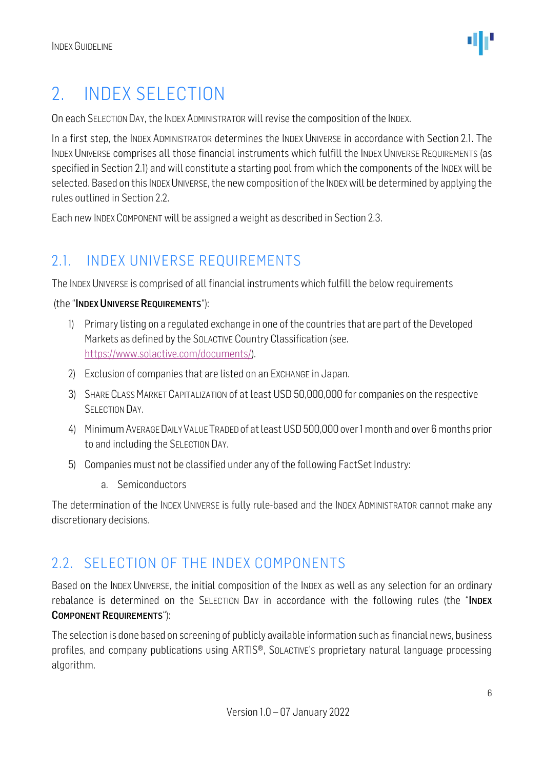### <span id="page-5-0"></span>2. INDEX SELECTION

On each SELECTION DAY, the INDEX ADMINISTRATOR will revise the composition of the INDEX.

In a first step, the INDEX ADMINISTRATOR determines the INDEX UNIVERSE in accordance with Section 2.1. The INDEX UNIVERSE comprises all those financial instruments which fulfill the INDEX UNIVERSE REQUIREMENTS (as specified in Section 2.1) and will constitute a starting pool from which the components of the INDEX will be selected. Based on this INDEX UNIVERSE, the new composition of the INDEX will be determined by applying the rules outlined in Section 2.2.

Each new INDEX COMPONENT will be assigned a weight as described in Section 2.3.

### <span id="page-5-1"></span>2.1. INDEX UNIVERSE REQUIREMENTS

The INDEX UNIVERSE is comprised of all financial instruments which fulfill the below requirements

#### (the "INDEX UNIVERSE REQUIREMENTS"):

- 1) Primary listing on a regulated exchange in one of the countries that are part of the Developed Markets as defined by the SOLACTIVE Country Classification (see. [https://www.solactive.com/documents/\)](https://www.solactive.com/documents/).
- 2) Exclusion of companies that are listed on an EXCHANGE in Japan.
- 3) SHARE CLASS MARKET CAPITALIZATION of at least USD 50,000,000 for companies on the respective SELECTION DAY.
- 4) MinimumAVERAGE DAILY VALUE TRADED of atleastUSD 500,000 over 1 month and over 6months prior to and including the SELECTION DAY.
- 5) Companies must not be classified under any of the following FactSet Industry:
	- a. Semiconductors

The determination of the INDEX UNIVERSE is fully rule-based and the INDEX ADMINISTRATOR cannot make any discretionary decisions.

### <span id="page-5-2"></span>2.2. SELECTION OF THE INDEX COMPONENTS

Based on the INDEX UNIVERSE, the initial composition of the INDEX as well as any selection for an ordinary rebalance is determined on the SELECTION DAY in accordance with the following rules (the "INDEX COMPONENT REQUIREMENTS"):

The selection is done based on screening of publicly available information such as financial news, business profiles, and company publications using ARTIS®, SOLACTIVE'S proprietary natural language processing algorithm.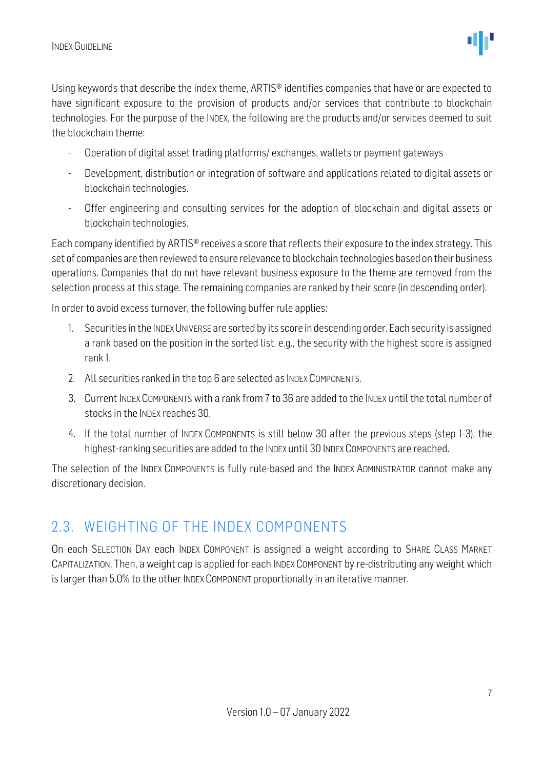Using keywords that describe the index theme, ARTIS® identifies companies that have or are expected to have significant exposure to the provision of products and/or services that contribute to blockchain technologies. For the purpose of the INDEX, the following are the products and/or services deemed to suit the blockchain theme:

- Operation of digital asset trading platforms/ exchanges, wallets or payment gateways
- Development, distribution or integration of software and applications related to digital assets or blockchain technologies.
- Offer engineering and consulting services for the adoption of blockchain and digital assets or blockchain technologies.

Each company identified by ARTIS® receives a score that reflects their exposure to the index strategy. This set of companies are then reviewed to ensure relevance to blockchain technologies based on their business operations. Companies that do not have relevant business exposure to the theme are removed from the selection process at this stage. The remaining companies are ranked by their score (in descending order).

In order to avoid excess turnover, the following buffer rule applies:

- 1. Securities in the INDEX UNIVERSE are sorted by its score in descending order. Each security is assigned a rank based on the position in the sorted list, e.g., the security with the highest score is assigned rank 1.
- 2. All securities ranked in the top 6 are selected as INDEX COMPONENTS.
- 3. Current INDEX COMPONENTS with a rank from 7 to 36 are added to the INDEX until the total number of stocks in the INDEX reaches 30.
- 4. If the total number of INDEX COMPONENTS is still below 30 after the previous steps (step 1-3), the highest-ranking securities are added to the INDEX until 30 INDEX COMPONENTS are reached.

The selection of the INDEX COMPONENTS is fully rule-based and the INDEX ADMINISTRATOR cannot make any discretionary decision.

### <span id="page-6-0"></span>2.3. WEIGHTING OF THE INDEX COMPONENTS

On each SELECTION DAY each INDEX COMPONENT is assigned a weight according to SHARE CLASS MARKET CAPITALIZATION. Then, a weight cap is applied for each INDEX COMPONENT by re-distributing any weight which is larger than 5.0% to the other INDEX COMPONENT proportionally in an iterative manner.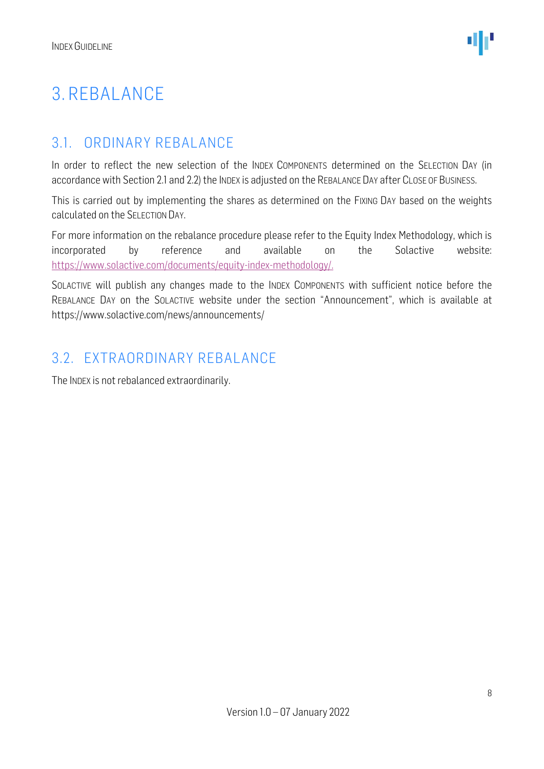### <span id="page-7-0"></span>3. REBALANCE

#### <span id="page-7-1"></span>3.1. ORDINARY REBALANCE

In order to reflect the new selection of the INDEX COMPONENTS determined on the SELECTION DAY (in accordance with Section 2.1 and 2.2) the INDEX is adjusted on the REBALANCE DAY after CLOSE OF BUSINESS.

This is carried out by implementing the shares as determined on the FIXING DAY based on the weights calculated on the SELECTION DAY.

For more information on the rebalance procedure please refer to the Equity Index Methodology, which is incorporated by reference and available on the Solactive website: [https://www.solactive.com/documents/equity-index-methodology/.](https://www.solactive.com/documents/equity-index-methodology/)

SOLACTIVE will publish any changes made to the INDEX COMPONENTS with sufficient notice before the REBALANCE DAY on the SOLACTIVE website under the section "Announcement", which is available at https://www.solactive.com/news/announcements/

#### <span id="page-7-2"></span>3.2. EXTRAORDINARY REBALANCE

The INDEX is not rebalanced extraordinarily.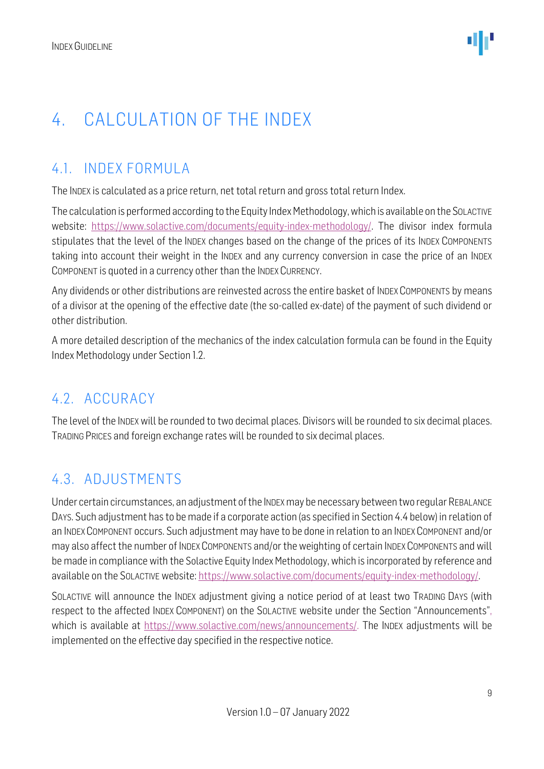### <span id="page-8-0"></span>4. CALCULATION OF THE INDEX

### <span id="page-8-1"></span>4.1. INDEX FORMULA

The INDEX is calculated as a price return, net total return and gross total return Index.

The calculation is performed according to the Equity Index Methodology, which is available on the SOLACTIVE website: [https://www.solactive.com/documents/equity-index-methodology/.](https://www.solactive.com/documents/equity-index-methodology/) The divisor index formula stipulates that the level of the INDEX changes based on the change of the prices of its INDEX COMPONENTS taking into account their weight in the INDEX and any currency conversion in case the price of an INDEX COMPONENT is quoted in a currency other than the INDEX CURRENCY.

Any dividends or other distributions are reinvested across the entire basket of INDEX COMPONENTS by means of a divisor at the opening of the effective date (the so-called ex-date) of the payment of such dividend or other distribution.

A more detailed description of the mechanics of the index calculation formula can be found in the Equity Index Methodology under Section 1.2.

### <span id="page-8-2"></span>4.2. ACCURACY

The level of the INDEX will be rounded to two decimal places. Divisors will be rounded to six decimal places. TRADING PRICES and foreign exchange rates will be rounded to six decimal places.

### <span id="page-8-3"></span>4.3. ADJUSTMENTS

Under certain circumstances, an adjustment of the INDEXmay be necessary between two regular REBALANCE DAYS. Such adjustment has to be made if a corporate action (as specified in Section 4.4 below) in relation of an INDEX COMPONENT occurs. Such adjustment may have to be done in relation to an INDEX COMPONENT and/or may also affect the number of INDEX COMPONENTS and/or the weighting of certain INDEX COMPONENTS and will be made in compliance with the Solactive Equity Index Methodology, which is incorporated by reference and available on the SOLACTIVE website: [https://www.solactive.com/documents/equity-index-methodology/.](https://www.solactive.com/documents/equity-index-methodology/)

SOLACTIVE will announce the INDEX adjustment giving a notice period of at least two TRADING DAYS (with respect to the affected INDEX COMPONENT) on the SOLACTIVE website under the Section "Announcements", which is available at https://www.solactive.com/news/announcements/. The INDEX adjustments will be implemented on the effective day specified in the respective notice.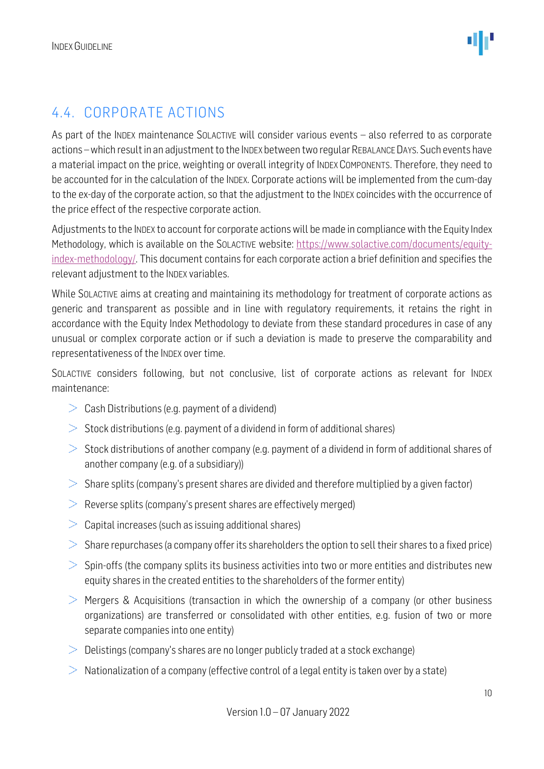### <span id="page-9-0"></span>4.4. CORPORATE ACTIONS

As part of the INDEX maintenance SOLACTIVE will consider various events – also referred to as corporate actions –which result in an adjustment to the INDEX between two regular REBALANCE DAYS. Such events have a material impact on the price, weighting or overall integrity of INDEX COMPONENTS. Therefore, they need to be accounted for in the calculation of the INDEX. Corporate actions will be implemented from the cum-day to the ex-day of the corporate action, so that the adjustment to the INDEX coincides with the occurrence of the price effect of the respective corporate action.

Adjustments to the INDEX to account for corporate actions will be made in compliance with the Equity Index Methodology, which is available on the SOLACTIVE website: [https://www.solactive.com/documents/equity](https://www.solactive.com/documents/equity-index-methodology/)[index-methodology/.](https://www.solactive.com/documents/equity-index-methodology/) This document contains for each corporate action a brief definition and specifies the relevant adjustment to the INDEX variables.

While SOLACTIVE aims at creating and maintaining its methodology for treatment of corporate actions as generic and transparent as possible and in line with regulatory requirements, it retains the right in accordance with the Equity Index Methodology to deviate from these standard procedures in case of any unusual or complex corporate action or if such a deviation is made to preserve the comparability and representativeness of the INDEX over time.

SOLACTIVE considers following, but not conclusive, list of corporate actions as relevant for INDEX maintenance:

- $\geq$  Cash Distributions (e.g. payment of a dividend)
- $>$  Stock distributions (e.g. payment of a dividend in form of additional shares)
- $>$  Stock distributions of another company (e.g. payment of a dividend in form of additional shares of another company (e.g. of a subsidiary))
- $>$  Share splits (company's present shares are divided and therefore multiplied by a given factor)
- $\geq$  Reverse splits (company's present shares are effectively merged)
- $>$  Capital increases (such as issuing additional shares)
- $>$  Share repurchases (a company offer its shareholders the option to sell their shares to a fixed price)
- $>$  Spin-offs (the company splits its business activities into two or more entities and distributes new equity shares in the created entities to the shareholders of the former entity)
- $>$  Mergers & Acquisitions (transaction in which the ownership of a company (or other business organizations) are transferred or consolidated with other entities, e.g. fusion of two or more separate companies into one entity)
- $\geq$  Delistings (company's shares are no longer publicly traded at a stock exchange)
- $\geq$  Nationalization of a company (effective control of a legal entity is taken over by a state)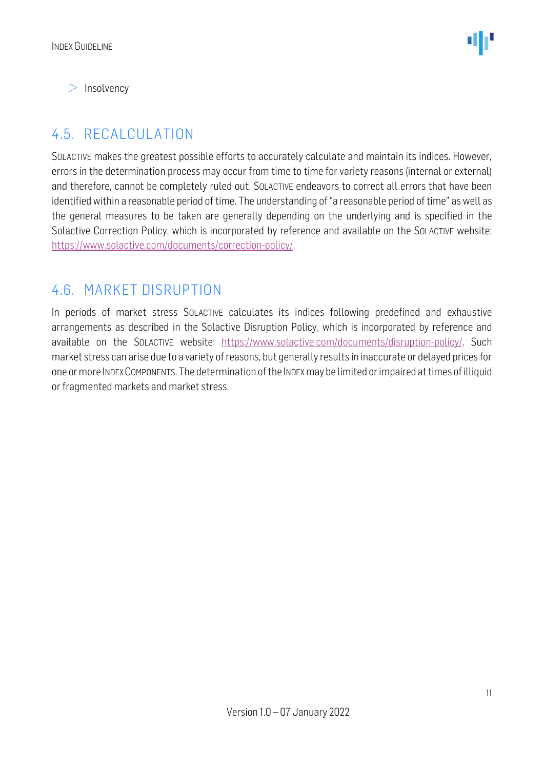$>$  Insolvency

### <span id="page-10-0"></span>4.5. RECALCULATION

SOLACTIVE makes the greatest possible efforts to accurately calculate and maintain its indices. However, errors in the determination process may occur from time to time for variety reasons (internal or external) and therefore, cannot be completely ruled out. SOLACTIVE endeavors to correct all errors that have been identified within a reasonable period of time. The understanding of "a reasonable period of time" as well as the general measures to be taken are generally depending on the underlying and is specified in the Solactive Correction Policy, which is incorporated by reference and available on the SOLACTIVE website: [https://www.solactive.com/documents/correction-policy/.](https://www.solactive.com/documents/correction-policy/)

#### <span id="page-10-1"></span>4.6. MARKET DISRUPTION

In periods of market stress SOLACTIVE calculates its indices following predefined and exhaustive arrangements as described in the Solactive Disruption Policy, which is incorporated by reference and available on the SOLACTIVE website: [https://www.solactive.com/documents/disruption-policy/.](https://www.solactive.com/documents/disruption-policy/) Such market stress can arise due to a variety of reasons, but generally results in inaccurate or delayed prices for one or more INDEXCOMPONENTS. The determination of the INDEXmay be limited or impaired at times of illiquid or fragmented markets and market stress.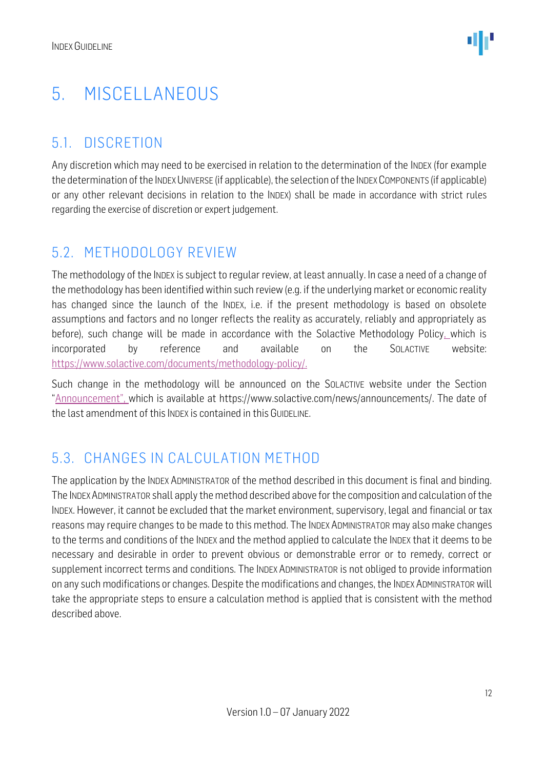### <span id="page-11-0"></span>5. MISCELLANEOUS

### <span id="page-11-1"></span>5.1. DISCRETION

Any discretion which may need to be exercised in relation to the determination of the INDEX (for example the determination of the INDEX UNIVERSE (if applicable), the selection of the INDEX COMPONENTS (if applicable) or any other relevant decisions in relation to the INDEX) shall be made in accordance with strict rules regarding the exercise of discretion or expert judgement.

#### <span id="page-11-2"></span>5.2. METHODOLOGY REVIEW

The methodology of the INDEX is subject to regular review, at least annually. In case a need of a change of the methodology has been identified within such review (e.g. if the underlying market or economic reality has changed since the launch of the INDEX, i.e. if the present methodology is based on obsolete assumptions and factors and no longer reflects the reality as accurately, reliably and appropriately as before), such change will be made in accordance with the Solactive Methodology Policy, which is incorporated by reference and available on the SOLACTIVE website: [https://www.solactive.com/documents/methodology-policy/.](https://www.solactive.com/documents/methodology-policy/)

Such change in the methodology will be announced on the SOLACTIVE website under the Section "Announcement", which is available at https://www.solactive.com/news/announcements/. The date of the last amendment of this INDEX is contained in this GUIDELINE.

### <span id="page-11-3"></span>5.3. CHANGES IN CALCULATION METHOD

The application by the INDEX ADMINISTRATOR of the method described in this document is final and binding. The INDEXADMINISTRATOR shall apply the method described above for the composition and calculation of the INDEX. However, it cannot be excluded that the market environment, supervisory, legal and financial or tax reasons may require changes to be made to this method. The INDEX ADMINISTRATOR may also make changes to the terms and conditions of the INDEX and the method applied to calculate the INDEX that it deems to be necessary and desirable in order to prevent obvious or demonstrable error or to remedy, correct or supplement incorrect terms and conditions. The INDEX ADMINISTRATOR is not obliged to provide information on any such modifications or changes. Despite the modifications and changes, the INDEX ADMINISTRATOR will take the appropriate steps to ensure a calculation method is applied that is consistent with the method described above.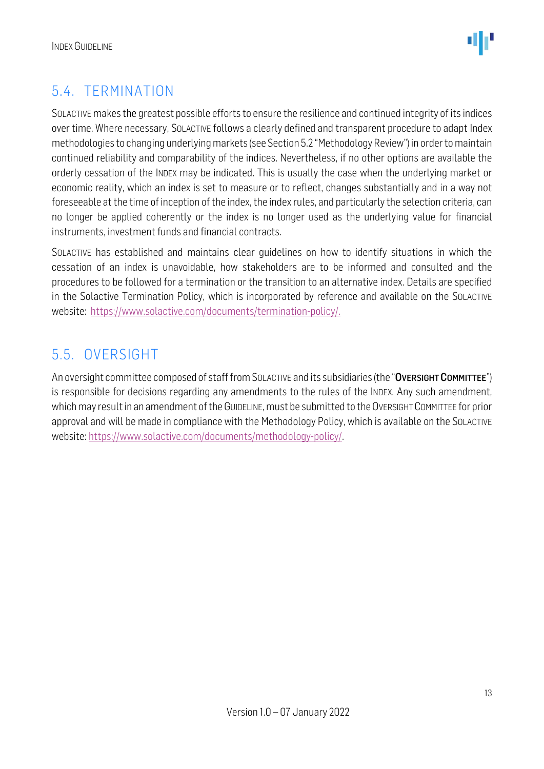

### <span id="page-12-0"></span>5.4. TERMINATION

SOLACTIVE makes the greatest possible efforts to ensure the resilience and continued integrity of its indices over time. Where necessary, SOLACTIVE follows a clearly defined and transparent procedure to adapt Index methodologies to changing underlying markets (see Section 5.2 "Methodology Review") in order to maintain continued reliability and comparability of the indices. Nevertheless, if no other options are available the orderly cessation of the INDEX may be indicated. This is usually the case when the underlying market or economic reality, which an index is set to measure or to reflect, changes substantially and in a way not foreseeable at the time of inception of the index, the index rules, and particularly the selection criteria, can no longer be applied coherently or the index is no longer used as the underlying value for financial instruments, investment funds and financial contracts.

SOLACTIVE has established and maintains clear guidelines on how to identify situations in which the cessation of an index is unavoidable, how stakeholders are to be informed and consulted and the procedures to be followed for a termination or the transition to an alternative index. Details are specified in the Solactive Termination Policy, which is incorporated by reference and available on the SOLACTIVE website: [https://www.solactive.com/documents/termination-policy/.](https://www.solactive.com/documents/termination-policy/)

### <span id="page-12-1"></span>5.5. OVERSIGHT

An oversight committee composed of staff from SOLACTIVE and its subsidiaries (the "OVERSIGHT COMMITTEE") is responsible for decisions regarding any amendments to the rules of the INDEX. Any such amendment, which may result in an amendment of the GUIDELINE, must be submitted to the OVERSIGHT COMMITTEE for prior approval and will be made in compliance with the [Methodology](http://methodology/) Policy, which is available on the SOLACTIVE website: [https://www.solactive.com/documents/methodology-policy/.](https://www.solactive.com/documents/methodology-policy/)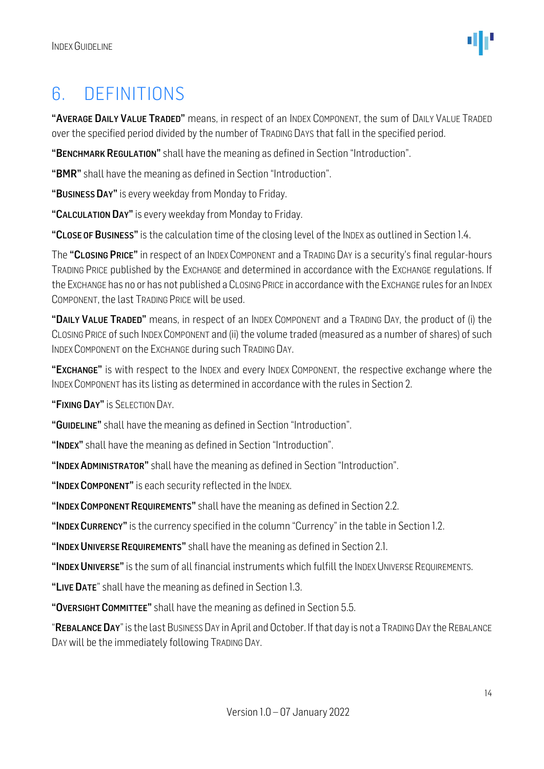### <span id="page-13-0"></span>6. DEFINITIONS

"AVERAGE DAILY VALUE TRADED" means, in respect of an INDEX COMPONENT, the sum of DAILY VALUE TRADED over the specified period divided by the number of TRADING DAYS that fall in the specified period.

"BENCHMARK REGULATION" shall have the meaning as defined in Section "Introduction".

"BMR" shall have the meaning as defined in Section "Introduction".

"BUSINESS DAY" is every weekday from Monday to Friday.

"CALCULATION DAY" is every weekday from Monday to Friday.

"CLOSE OF BUSINESS" is the calculation time of the closing level of the INDEX as outlined in Section 1.4.

The "CLOSING PRICE" in respect of an INDEX COMPONENT and a TRADING DAY is a security's final regular-hours TRADING PRICE published by the EXCHANGE and determined in accordance with the EXCHANGE regulations. If the EXCHANGE has no or has not published a CLOSING PRICE in accordance with the EXCHANGE rules for an INDEX COMPONENT, the last TRADING PRICE will be used.

"DAILY VALUE TRADED" means, in respect of an INDEX COMPONENT and a TRADING DAY, the product of (i) the CLOSING PRICE of such INDEX COMPONENT and (ii) the volume traded (measured as a number of shares) of such INDEX COMPONENT on the EXCHANGE during such TRADING DAY.

"EXCHANGE" is with respect to the INDEX and every INDEX COMPONENT, the respective exchange where the INDEX COMPONENT has its listing as determined in accordance with the rules in Section 2.

"FIXING DAY" IS SELECTION DAY.

"GUIDELINE" shall have the meaning as defined in Section "Introduction".

"INDEX" shall have the meaning as defined in Section "Introduction".

"INDEX ADMINISTRATOR" shall have the meaning as defined in Section "Introduction".

"INDEX COMPONENT" is each security reflected in the INDEX.

"INDEX COMPONENT REQUIREMENTS" shall have the meaning as defined in Section 2.2.

"INDEX CURRENCY" is the currency specified in the column "Currency" in the table in Section 1.2.

"INDEX UNIVERSE REQUIREMENTS" shall have the meaning as defined in Section 2.1.

"INDEX UNIVERSE" is the sum of all financial instruments which fulfill the INDEX UNIVERSE REQUIREMENTS.

"LIVE DATE" shall have the meaning as defined in Section 1.3.

"OVERSIGHT COMMITTEE" shall have the meaning as defined in Section 5.5.

"REBALANCE DAY" is the last BUSINESS DAY in April and October. If that day is not a TRADING DAY the REBALANCE DAY will be the immediately following TRADING DAY.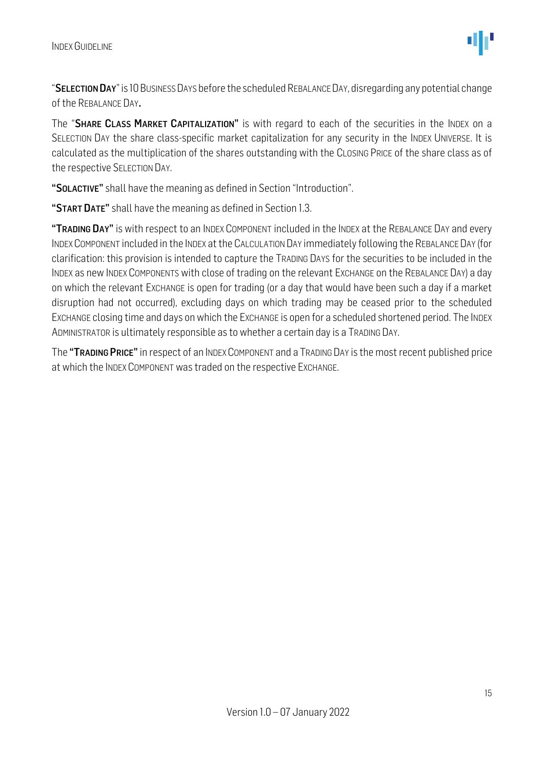"SELECTION DAY"is 10 BUSINESS DAYS before the scheduled REBALANCE DAY, disregarding any potential change of the REBALANCE DAY.

The "SHARE CLASS MARKET CAPITALIZATION" is with regard to each of the securities in the INDEX on a SELECTION DAY the share class-specific market capitalization for any security in the INDEX UNIVERSE. It is calculated as the multiplication of the shares outstanding with the CLOSING PRICE of the share class as of the respective SELECTION DAY.

"SOLACTIVE" shall have the meaning as defined in Section "Introduction".

"START DATE" shall have the meaning as defined in Section 1.3.

"TRADING DAY" is with respect to an INDEX COMPONENT included in the INDEX at the REBALANCE DAY and every INDEXCOMPONENT included in the INDEX at the CALCULATION DAY immediately following the REBALANCE DAY (for clarification: this provision is intended to capture the TRADING DAYS for the securities to be included in the INDEX as new INDEX COMPONENTS with close of trading on the relevant EXCHANGE on the REBALANCE DAY) a day on which the relevant EXCHANGE is open for trading (or a day that would have been such a day if a market disruption had not occurred), excluding days on which trading may be ceased prior to the scheduled EXCHANGE closing time and days on which the EXCHANGE is open for a scheduled shortened period. The INDEX ADMINISTRATOR is ultimately responsible as to whether a certain day is a TRADING DAY.

The "TRADING PRICE" in respect of an INDEX COMPONENT and a TRADING DAY is the most recent published price at which the INDEX COMPONENT was traded on the respective EXCHANGE.